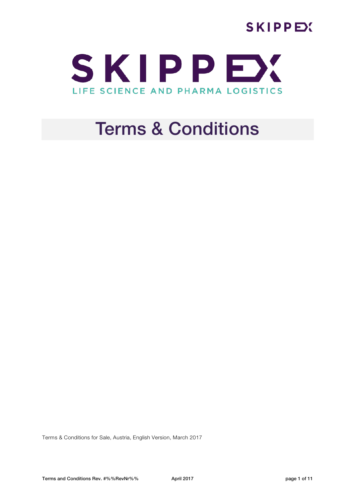



# Terms & Conditions

Terms & Conditions for Sale, Austria, English Version, March 2017

Terms and Conditions Rev. #%%RevNr%% April 2017 April 2017 April 2017 Page 1 of 11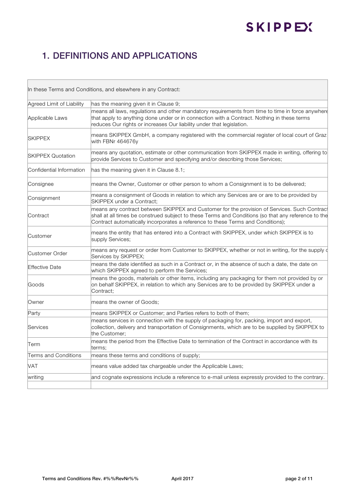## 1. DEFINITIONS AND APPLICATIONS

| In these Terms and Conditions, and elsewhere in any Contract: |                                                                                                                                                                                                                                                                                        |
|---------------------------------------------------------------|----------------------------------------------------------------------------------------------------------------------------------------------------------------------------------------------------------------------------------------------------------------------------------------|
| Agreed Limit of Liability                                     | has the meaning given it in Clause 9;                                                                                                                                                                                                                                                  |
| Applicable Laws                                               | means all laws, regulations and other mandatory requirements from time to time in force anywhere<br>that apply to anything done under or in connection with a Contract. Nothing in these terms<br>reduces Our rights or increases Our liability under that legislation.                |
| <b>SKIPPEX</b>                                                | means SKIPPEX GmbH, a company registered with the commercial register of local court of Graz<br>with FBNr 464676y                                                                                                                                                                      |
| <b>SKIPPEX Quotation</b>                                      | means any quotation, estimate or other communication from SKIPPEX made in writing, offering to<br>provide Services to Customer and specifying and/or describing those Services;                                                                                                        |
| Confidential Information                                      | has the meaning given it in Clause 8.1;                                                                                                                                                                                                                                                |
| Consignee                                                     | means the Owner, Customer or other person to whom a Consignment is to be delivered;                                                                                                                                                                                                    |
| Consignment                                                   | means a consignment of Goods in relation to which any Services are or are to be provided by<br>SKIPPEX under a Contract;                                                                                                                                                               |
| Contract                                                      | means any contract between SKIPPEX and Customer for the provision of Services. Such Contract<br>shall at all times be construed subject to these Terms and Conditions (so that any reference to the<br>Contract automatically incorporates a reference to these Terms and Conditions); |
| lCustomer                                                     | means the entity that has entered into a Contract with SKIPPEX, under which SKIPPEX is to<br>supply Services;                                                                                                                                                                          |
| Customer Order                                                | means any request or order from Customer to SKIPPEX, whether or not in writing, for the supply of<br>Services by SKIPPEX;                                                                                                                                                              |
| Effective Date                                                | means the date identified as such in a Contract or, in the absence of such a date, the date on<br>which SKIPPEX agreed to perform the Services;                                                                                                                                        |
| lGoods                                                        | means the goods, materials or other items, including any packaging for them not provided by or<br>on behalf SKIPPEX, in relation to which any Services are to be provided by SKIPPEX under a<br>Contract;                                                                              |
| Owner                                                         | means the owner of Goods;                                                                                                                                                                                                                                                              |
| Party                                                         | means SKIPPEX or Customer; and Parties refers to both of them;                                                                                                                                                                                                                         |
| <b>Services</b>                                               | means services in connection with the supply of packaging for, packing, import and export,<br>collection, delivery and transportation of Consignments, which are to be supplied by SKIPPEX to<br>the Customer:                                                                         |
| Term                                                          | means the period from the Effective Date to termination of the Contract in accordance with its<br>terms;                                                                                                                                                                               |
| <b>Terms and Conditions</b>                                   | means these terms and conditions of supply;                                                                                                                                                                                                                                            |
| <b>VAT</b>                                                    | means value added tax chargeable under the Applicable Laws;                                                                                                                                                                                                                            |
| writing                                                       | and cognate expressions include a reference to e-mail unless expressly provided to the contrary.                                                                                                                                                                                       |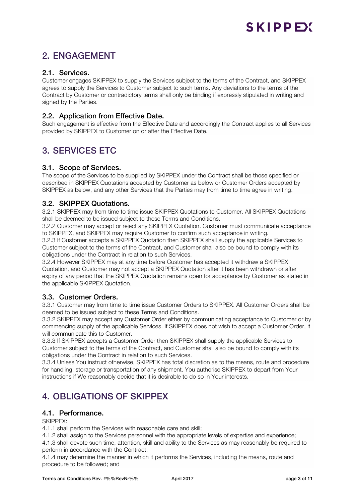## 2. ENGAGEMENT

#### 2.1. Services.

Customer engages SKIPPEX to supply the Services subject to the terms of the Contract, and SKIPPEX agrees to supply the Services to Customer subject to such terms. Any deviations to the terms of the Contract by Customer or contradictory terms shall only be binding if expressly stipulated in writing and signed by the Parties.

#### 2.2. Application from Effective Date.

Such engagement is effective from the Effective Date and accordingly the Contract applies to all Services provided by SKIPPEX to Customer on or after the Effective Date.

## 3. SERVICES ETC

#### 3.1. Scope of Services.

The scope of the Services to be supplied by SKIPPEX under the Contract shall be those specified or described in SKIPPEX Quotations accepted by Customer as below or Customer Orders accepted by SKIPPEX as below, and any other Services that the Parties may from time to time agree in writing.

#### 3.2. SKIPPEX Quotations.

3.2.1 SKIPPEX may from time to time issue SKIPPEX Quotations to Customer. All SKIPPEX Quotations shall be deemed to be issued subject to these Terms and Conditions.

3.2.2 Customer may accept or reject any SKIPPEX Quotation. Customer must communicate acceptance to SKIPPEX, and SKIPPEX may require Customer to confirm such acceptance in writing.

3.2.3 If Customer accepts a SKIPPEX Quotation then SKIPPEX shall supply the applicable Services to Customer subject to the terms of the Contract, and Customer shall also be bound to comply with its obligations under the Contract in relation to such Services.

3.2.4 However SKIPPEX may at any time before Customer has accepted it withdraw a SKIPPEX Quotation, and Customer may not accept a SKIPPEX Quotation after it has been withdrawn or after expiry of any period that the SKIPPEX Quotation remains open for acceptance by Customer as stated in the applicable SKIPPEX Quotation.

#### 3.3. Customer Orders.

3.3.1 Customer may from time to time issue Customer Orders to SKIPPEX. All Customer Orders shall be deemed to be issued subject to these Terms and Conditions.

3.3.2 SKIPPEX may accept any Customer Order either by communicating acceptance to Customer or by commencing supply of the applicable Services. If SKIPPEX does not wish to accept a Customer Order, it will communicate this to Customer.

3.3.3 If SKIPPEX accepts a Customer Order then SKIPPEX shall supply the applicable Services to Customer subject to the terms of the Contract, and Customer shall also be bound to comply with its obligations under the Contract in relation to such Services.

3.3.4 Unless You instruct otherwise, SKIPPEX has total discretion as to the means, route and procedure for handling, storage or transportation of any shipment. You authorise SKIPPEX to depart from Your instructions if We reasonably decide that it is desirable to do so in Your interests.

## 4. OBLIGATIONS OF SKIPPEX

#### 4.1. Performance.

SKIPPEX:

4.1.1 shall perform the Services with reasonable care and skill;

4.1.2 shall assign to the Services personnel with the appropriate levels of expertise and experience;

4.1.3 shall devote such time, attention, skill and ability to the Services as may reasonably be required to perform in accordance with the Contract;

4.1.4 may determine the manner in which it performs the Services, including the means, route and procedure to be followed; and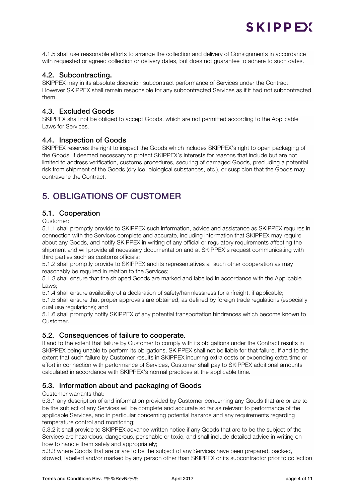4.1.5 shall use reasonable efforts to arrange the collection and delivery of Consignments in accordance with requested or agreed collection or delivery dates, but does not guarantee to adhere to such dates.

SKIPPEY

#### 4.2. Subcontracting.

SKIPPEX may in its absolute discretion subcontract performance of Services under the Contract. However SKIPPEX shall remain responsible for any subcontracted Services as if it had not subcontracted them.

#### 4.3. Excluded Goods

SKIPPEX shall not be obliged to accept Goods, which are not permitted according to the Applicable Laws for Services.

#### 4.4. Inspection of Goods

SKIPPEX reserves the right to inspect the Goods which includes SKIPPEX's right to open packaging of the Goods, if deemed necessary to protect SKIPPEX's interests for reasons that include but are not limited to address verification, customs procedures, securing of damaged Goods, precluding a potential risk from shipment of the Goods (dry ice, biological substances, etc.), or suspicion that the Goods may contravene the Contract.

## 5. OBLIGATIONS OF CUSTOMER

#### 5.1. Cooperation

Customer:

5.1.1 shall promptly provide to SKIPPEX such information, advice and assistance as SKIPPEX requires in connection with the Services complete and accurate, including information that SKIPPEX may require about any Goods, and notify SKIPPEX in writing of any official or regulatory requirements affecting the shipment and will provide all necessary documentation and at SKIPPEX's request communicating with third parties such as customs officials;

5.1.2 shall promptly provide to SKIPPEX and its representatives all such other cooperation as may reasonably be required in relation to the Services;

5.1.3 shall ensure that the shipped Goods are marked and labelled in accordance with the Applicable Laws;

5.1.4 shall ensure availability of a declaration of safety/harmlessness for airfreight, if applicable;

5.1.5 shall ensure that proper approvals are obtained, as defined by foreign trade regulations (especially dual use regulations); and

5.1.6 shall promptly notify SKIPPEX of any potential transportation hindrances which become known to Customer.

#### 5.2. Consequences of failure to cooperate.

If and to the extent that failure by Customer to comply with its obligations under the Contract results in SKIPPEX being unable to perform its obligations, SKIPPEX shall not be liable for that failure. If and to the extent that such failure by Customer results in SKIPPEX incurring extra costs or expending extra time or effort in connection with performance of Services, Customer shall pay to SKIPPEX additional amounts calculated in accordance with SKIPPEX's normal practices at the applicable time.

#### 5.3. Information about and packaging of Goods

Customer warrants that:

5.3.1 any description of and information provided by Customer concerning any Goods that are or are to be the subject of any Services will be complete and accurate so far as relevant to performance of the applicable Services, and in particular concerning potential hazards and any requirements regarding temperature control and monitoring;

5.3.2 it shall provide to SKIPPEX advance written notice if any Goods that are to be the subject of the Services are hazardous, dangerous, perishable or toxic, and shall include detailed advice in writing on how to handle them safely and appropriately;

5.3.3 where Goods that are or are to be the subject of any Services have been prepared, packed, stowed, labelled and/or marked by any person other than SKIPPEX or its subcontractor prior to collection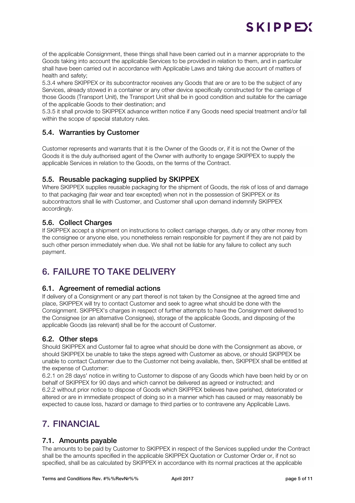## SKIPPEY

of the applicable Consignment, these things shall have been carried out in a manner appropriate to the Goods taking into account the applicable Services to be provided in relation to them, and in particular shall have been carried out in accordance with Applicable Laws and taking due account of matters of health and safety;

5.3.4 where SKIPPEX or its subcontractor receives any Goods that are or are to be the subject of any Services, already stowed in a container or any other device specifically constructed for the carriage of those Goods (Transport Unit), the Transport Unit shall be in good condition and suitable for the carriage of the applicable Goods to their destination; and

5.3.5 it shall provide to SKIPPEX advance written notice if any Goods need special treatment and/or fall within the scope of special statutory rules.

#### 5.4. Warranties by Customer

Customer represents and warrants that it is the Owner of the Goods or, if it is not the Owner of the Goods it is the duly authorised agent of the Owner with authority to engage SKIPPEX to supply the applicable Services in relation to the Goods, on the terms of the Contract.

#### 5.5. Reusable packaging supplied by SKIPPEX

Where SKIPPEX supplies reusable packaging for the shipment of Goods, the risk of loss of and damage to that packaging (fair wear and tear excepted) when not in the possession of SKIPPEX or its subcontractors shall lie with Customer, and Customer shall upon demand indemnify SKIPPEX accordingly.

#### 5.6. Collect Charges

If SKIPPEX accept a shipment on instructions to collect carriage charges, duty or any other money from the consignee or anyone else, you nonetheless remain responsible for payment if they are not paid by such other person immediately when due. We shall not be liable for any failure to collect any such payment.

### 6. FAILURE TO TAKE DELIVERY

#### 6.1. Agreement of remedial actions

If delivery of a Consignment or any part thereof is not taken by the Consignee at the agreed time and place, SKIPPEX will try to contact Customer and seek to agree what should be done with the Consignment. SKIPPEX's charges in respect of further attempts to have the Consignment delivered to the Consignee (or an alternative Consignee), storage of the applicable Goods, and disposing of the applicable Goods (as relevant) shall be for the account of Customer.

#### 6.2. Other steps

Should SKIPPEX and Customer fail to agree what should be done with the Consignment as above, or should SKIPPEX be unable to take the steps agreed with Customer as above, or should SKIPPEX be unable to contact Customer due to the Customer not being available, then, SKIPPEX shall be entitled at the expense of Customer:

6.2.1 on 28 days' notice in writing to Customer to dispose of any Goods which have been held by or on behalf of SKIPPEX for 90 days and which cannot be delivered as agreed or instructed; and 6.2.2 without prior notice to dispose of Goods which SKIPPEX believes have perished, deteriorated or altered or are in immediate prospect of doing so in a manner which has caused or may reasonably be expected to cause loss, hazard or damage to third parties or to contravene any Applicable Laws.

### 7. FINANCIAL

#### 7.1. Amounts payable

The amounts to be paid by Customer to SKIPPEX in respect of the Services supplied under the Contract shall be the amounts specified in the applicable SKIPPEX Quotation or Customer Order or, if not so specified, shall be as calculated by SKIPPEX in accordance with its normal practices at the applicable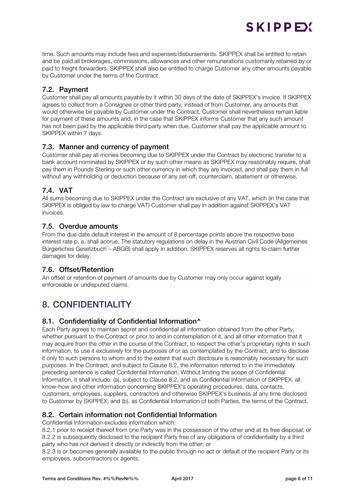time. Such amounts may include fees and expenses/disbursements. SKIPPEX shall be entitled to retain and be paid all brokerages, commissions, allowances and other remunerations customarily retained by or paid to freight forwarders. SKIPPEX shall also be entitled to charge Customer any other amounts payable by Customer under the terms of the Contract.

#### 7.2. Payment

Customer shall pay all amounts payable by it within 30 days of the date of SKIPPEX's invoice. If SKIPPEX agrees to collect from a Consignee or other third party, instead of from Customer, any amounts that would otherwise be payable by Customer under the Contract, Customer shall nevertheless remain liable for payment of these amounts and, in the case that SKIPPEX informs Customer that any such amount has not been paid by the applicable third party when due, Customer shall pay the applicable amount to SKIPPEX within 7 days.

#### 7.3. Manner and currency of payment

Customer shall pay all monies becoming due to SKIPPEX under the Contract by electronic transfer to a bank account nominated by SKIPPEX or by such other means as SKIPPEX may reasonably require, shall pay them in Pounds Sterling or such other currency in which they are invoiced, and shall pay them in full without any withholding or deduction because of any set-off, counterclaim, abatement or otherwise.

#### 7.4. VAT

All sums becoming due to SKIPPEX under the Contract are exclusive of any VAT, which (in the case that SKIPPEX is obliged by law to charge VAT) Customer shall pay in addition against SKIPPEX's VAT invoices.

#### 7.5. Overdue amounts

From the due date default interest in the amount of 8 percentage points above the respective base interest rate p. a. shall accrue. The statutory regulations on delay in the Austrian Civil Code (Allgemeines Bürgerliches Gesetzbuch – ABGB) shall apply in addition. SKIPPEX reserves all rights to claim further damages for delay.

#### 7.6. Offset/Retention

An offset or retention of payment of amounts due by Customer may only occur against legally enforceable or undisputed claims.

## 8. CONFIDENTIALITY

#### 8.1. Confidentiality of Confidential Information<sup>^</sup>

Each Party agrees to maintain secret and confidential all information obtained from the other Party, whether pursuant to the Contract or prior to and in contemplation of it, and all other information that it may acquire from the other in the course of the Contract, to respect the other's proprietary rights in such information, to use it exclusively for the purposes of or as contemplated by the Contract, and to disclose it only to such persons to whom and to the extent that such disclosure is reasonably necessary for such purposes. In the Contract, and subject to Clause 8.2, the information referred to in the immediately preceding sentence is called Confidential Information. Without limiting the scope of Confidential Information, it shall include: (a), subject to Clause 8.2, and as Confidential Information of SKIPPEX, all know-how and other information concerning SKIPPEX's operating procedures, data, contacts, customers, employees, suppliers, contractors and otherwise SKIPPEX's business at any time disclosed to Customer by SKIPPEX; and (b), as Confidential Information of both Parties, the terms of the Contract.

#### 8.2. Certain information not Confidential Information

Confidential Information excludes information which:

8.2.1 prior to receipt thereof from one Party was in the possession of the other and at its free disposal; or 8.2.2 is subsequently disclosed to the recipient Party free of any obligations of confidentiality by a third party who has not derived it directly or indirectly from the other; or

8.2.3 is or becomes generally available to the public through no act or default of the recipient Party or its employees, subcontractors or agents.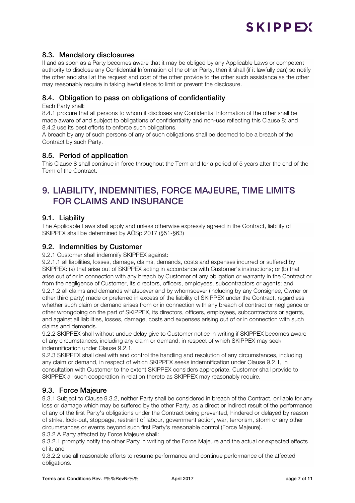#### 8.3. Mandatory disclosures

If and as soon as a Party becomes aware that it may be obliged by any Applicable Laws or competent authority to disclose any Confidential Information of the other Party, then it shall (if it lawfully can) so notify the other and shall at the request and cost of the other provide to the other such assistance as the other may reasonably require in taking lawful steps to limit or prevent the disclosure.

#### 8.4. Obligation to pass on obligations of confidentiality

Each Party shall:

8.4.1 procure that all persons to whom it discloses any Confidential Information of the other shall be made aware of and subject to obligations of confidentiality and non-use reflecting this Clause 8; and 8.4.2 use its best efforts to enforce such obligations.

A breach by any of such persons of any of such obligations shall be deemed to be a breach of the Contract by such Party.

#### 8.5. Period of application

This Clause 8 shall continue in force throughout the Term and for a period of 5 years after the end of the Term of the Contract.

## 9. LIABILITY, INDEMNITIES, FORCE MAJEURE, TIME LIMITS FOR CLAIMS AND INSURANCE

#### 9.1. Liability

The Applicable Laws shall apply and unless otherwise expressly agreed in the Contract, liability of SKIPPEX shall be determined by AÖSp 2017 (§51-§63)

#### 9.2. Indemnities by Customer

9.2.1 Customer shall indemnify SKIPPEX against:

9.2.1.1 all liabilities, losses, damage, claims, demands, costs and expenses incurred or suffered by SKIPPEX: (a) that arise out of SKIPPEX acting in accordance with Customer's instructions; or (b) that arise out of or in connection with any breach by Customer of any obligation or warranty in the Contract or from the negligence of Customer, its directors, officers, employees, subcontractors or agents; and 9.2.1.2 all claims and demands whatsoever and by whomsoever (including by any Consignee, Owner or other third party) made or preferred in excess of the liability of SKIPPEX under the Contract, regardless whether such claim or demand arises from or in connection with any breach of contract or negligence or other wrongdoing on the part of SKIPPEX, its directors, officers, employees, subcontractors or agents, and against all liabilities, losses, damage, costs and expenses arising out of or in connection with such claims and demands.

9.2.2 SKIPPEX shall without undue delay give to Customer notice in writing if SKIPPEX becomes aware of any circumstances, including any claim or demand, in respect of which SKIPPEX may seek indemnification under Clause 9.2.1.

9.2.3 SKIPPEX shall deal with and control the handling and resolution of any circumstances, including any claim or demand, in respect of which SKIPPEX seeks indemnification under Clause 9.2.1, in consultation with Customer to the extent SKIPPEX considers appropriate. Customer shall provide to SKIPPEX all such cooperation in relation thereto as SKIPPEX may reasonably require.

#### 9.3. Force Majeure

9.3.1 Subject to Clause 9.3.2, neither Party shall be considered in breach of the Contract, or liable for any loss or damage which may be suffered by the other Party, as a direct or indirect result of the performance of any of the first Party's obligations under the Contract being prevented, hindered or delayed by reason of strike, lock-out, stoppage, restraint of labour, government action, war, terrorism, storm or any other circumstances or events beyond such first Party's reasonable control (Force Majeure).

9.3.2 A Party affected by Force Majeure shall:

9.3.2.1 promptly notify the other Party in writing of the Force Majeure and the actual or expected effects of it; and

9.3.2.2 use all reasonable efforts to resume performance and continue performance of the affected obligations.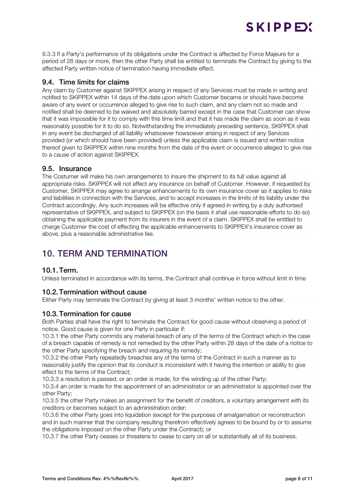9.3.3 If a Party's performance of its obligations under the Contract is affected by Force Majeure for a period of 28 days or more, then the other Party shall be entitled to terminate the Contract by giving to the affected Party written notice of termination having immediate effect.

#### 9.4. Time limits for claims

Any claim by Customer against SKIPPEX arising in respect of any Services must be made in writing and notified to SKIPPEX within 14 days of the date upon which Customer became or should have become aware of any event or occurrence alleged to give rise to such claim, and any claim not so made and notified shall be deemed to be waived and absolutely barred except in the case that Customer can show that it was impossible for it to comply with this time limit and that it has made the claim as soon as it was reasonably possible for it to do so. Notwithstanding the immediately preceding sentence, SKIPPEX shall in any event be discharged of all liability whatsoever howsoever arising in respect of any Services provided (or which should have been provided) unless the applicable claim is issued and written notice thereof given to SKIPPEX within nine months from the date of the event or occurrence alleged to give rise to a cause of action against SKIPPEX.

#### 9.5. Insurance

The Costumer will make his own arrangements to insure the shipment to its full value against all appropriate risks. SKIPPEX will not effect any insurance on behalf of Customer. However, if requested by Customer, SKIPPEX may agree to arrange enhancements to its own insurance cover as it applies to risks and liabilities in connection with the Services, and to accept increases in the limits of its liability under the Contract accordingly. Any such increases will be effective only if agreed in writing by a duly authorised representative of SKIPPEX, and subject to SKIPPEX (on the basis it shall use reasonable efforts to do so) obtaining the applicable payment from its insurers in the event of a claim. SKIPPEX shall be entitled to charge Customer the cost of effecting the applicable enhancements to SKIPPEX's insurance cover as above, plus a reasonable administrative fee.

## 10. TERM AND TERMINATION

#### 10.1.Term.

Unless terminated in accordance with its terms, the Contract shall continue in force without limit in time

#### 10.2.Termination without cause

Either Party may terminate the Contract by giving at least 3 months' written notice to the other.

#### 10.3.Termination for cause

Both Parties shall have the right to terminate the Contract for good cause without observing a period of notice. Good cause is given for one Party in particular if:

10.3.1 the other Party commits any material breach of any of the terms of the Contract which in the case of a breach capable of remedy is not remedied by the other Party within 28 days of the date of a notice to the other Party specifying the breach and requiring its remedy;

10.3.2 the other Party repeatedly breaches any of the terms of the Contract in such a manner as to reasonably justify the opinion that its conduct is inconsistent with it having the intention or ability to give effect to the terms of the Contract;

10.3.3 a resolution is passed, or an order is made, for the winding up of the other Party;

10.3.4 an order is made for the appointment of an administrator or an administrator is appointed over the other Party;

10.3.5 the other Party makes an assignment for the benefit of creditors, a voluntary arrangement with its creditors or becomes subject to an administration order;

10.3.6 the other Party goes into liquidation (except for the purposes of amalgamation or reconstruction and in such manner that the company resulting therefrom effectively agrees to be bound by or to assume the obligations imposed on the other Party under the Contract); or

10.3.7 the other Party ceases or threatens to cease to carry on all or substantially all of its business.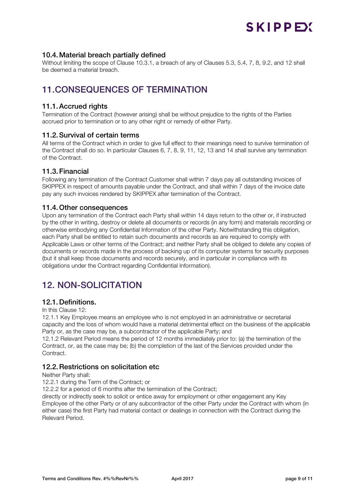#### 10.4.Material breach partially defined

Without limiting the scope of Clause 10.3.1, a breach of any of Clauses 5.3, 5.4, 7, 8, 9.2, and 12 shall be deemed a material breach.

### 11.CONSEQUENCES OF TERMINATION

#### 11.1.Accrued rights

Termination of the Contract (however arising) shall be without prejudice to the rights of the Parties accrued prior to termination or to any other right or remedy of either Party.

#### 11.2.Survival of certain terms

All terms of the Contract which in order to give full effect to their meanings need to survive termination of the Contract shall do so. In particular Clauses 6, 7, 8, 9, 11, 12, 13 and 14 shall survive any termination of the Contract.

#### 11.3.Financial

Following any termination of the Contract Customer shall within 7 days pay all outstanding invoices of SKIPPEX in respect of amounts payable under the Contract, and shall within 7 days of the invoice date pay any such invoices rendered by SKIPPEX after termination of the Contract.

#### 11.4.Other consequences

Upon any termination of the Contract each Party shall within 14 days return to the other or, if instructed by the other in writing, destroy or delete all documents or records (in any form) and materials recording or otherwise embodying any Confidential Information of the other Party. Notwithstanding this obligation, each Party shall be entitled to retain such documents and records as are required to comply with Applicable Laws or other terms of the Contract; and neither Party shall be obliged to delete any copies of documents or records made in the process of backing up of its computer systems for security purposes (but it shall keep those documents and records securely, and in particular in compliance with its obligations under the Contract regarding Confidential Information).

### 12. NON-SOLICITATION

#### 12.1.Definitions.

In this Clause 12:

12.1.1 Key Employee means an employee who is not employed in an administrative or secretarial capacity and the loss of whom would have a material detrimental effect on the business of the applicable Party or, as the case may be, a subcontractor of the applicable Party; and

12.1.2 Relevant Period means the period of 12 months immediately prior to: (a) the termination of the Contract, or, as the case may be; (b) the completion of the last of the Services provided under the **Contract** 

#### 12.2.Restrictions on solicitation etc

Neither Party shall:

12.2.1 during the Term of the Contract; or

12.2.2 for a period of 6 months after the termination of the Contract;

directly or indirectly seek to solicit or entice away for employment or other engagement any Key Employee of the other Party or of any subcontractor of the other Party under the Contract with whom (in either case) the first Party had material contact or dealings in connection with the Contract during the Relevant Period.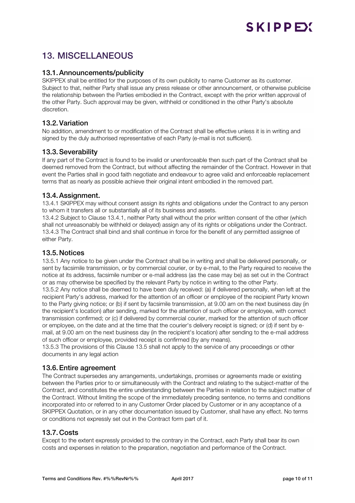## SKIPPEY

## 13. MISCELLANEOUS

#### 13.1.Announcements/publicity

SKIPPEX shall be entitled for the purposes of its own publicity to name Customer as its customer. Subject to that, neither Party shall issue any press release or other announcement, or otherwise publicise the relationship between the Parties embodied in the Contract, except with the prior written approval of the other Party. Such approval may be given, withheld or conditioned in the other Party's absolute discretion.

#### 13.2.Variation

No addition, amendment to or modification of the Contract shall be effective unless it is in writing and signed by the duly authorised representative of each Party (e-mail is not sufficient).

#### 13.3.Severability

If any part of the Contract is found to be invalid or unenforceable then such part of the Contract shall be deemed removed from the Contract, but without affecting the remainder of the Contract. However in that event the Parties shall in good faith negotiate and endeavour to agree valid and enforceable replacement terms that as nearly as possible achieve their original intent embodied in the removed part.

#### 13.4.Assignment.

13.4.1 SKIPPEX may without consent assign its rights and obligations under the Contract to any person to whom it transfers all or substantially all of its business and assets.

13.4.2 Subject to Clause 13.4.1, neither Party shall without the prior written consent of the other (which shall not unreasonably be withheld or delayed) assign any of its rights or obligations under the Contract. 13.4.3 The Contract shall bind and shall continue in force for the benefit of any permitted assignee of either Party.

#### 13.5.Notices

13.5.1 Any notice to be given under the Contract shall be in writing and shall be delivered personally, or sent by facsimile transmission, or by commercial courier, or by e-mail, to the Party required to receive the notice at its address, facsimile number or e-mail address (as the case may be) as set out in the Contract or as may otherwise be specified by the relevant Party by notice in writing to the other Party.

13.5.2 Any notice shall be deemed to have been duly received: (a) if delivered personally, when left at the recipient Party's address, marked for the attention of an officer or employee of the recipient Party known to the Party giving notice; or (b) if sent by facsimile transmission, at 9.00 am on the next business day (in the recipient's location) after sending, marked for the attention of such officer or employee, with correct transmission confirmed; or (c) if delivered by commercial courier, marked for the attention of such officer or employee, on the date and at the time that the courier's delivery receipt is signed; or (d) if sent by email, at 9.00 am on the next business day (in the recipient's location) after sending to the e-mail address of such officer or employee, provided receipt is confirmed (by any means).

13.5.3 The provisions of this Clause 13.5 shall not apply to the service of any proceedings or other documents in any legal action

#### 13.6.Entire agreement

The Contract supersedes any arrangements, undertakings, promises or agreements made or existing between the Parties prior to or simultaneously with the Contract and relating to the subject-matter of the Contract, and constitutes the entire understanding between the Parties in relation to the subject matter of the Contract. Without limiting the scope of the immediately preceding sentence, no terms and conditions incorporated into or referred to in any Customer Order placed by Customer or in any acceptance of a SKIPPEX Quotation, or in any other documentation issued by Customer, shall have any effect. No terms or conditions not expressly set out in the Contract form part of it.

#### 13.7.Costs

Except to the extent expressly provided to the contrary in the Contract, each Party shall bear its own costs and expenses in relation to the preparation, negotiation and performance of the Contract.